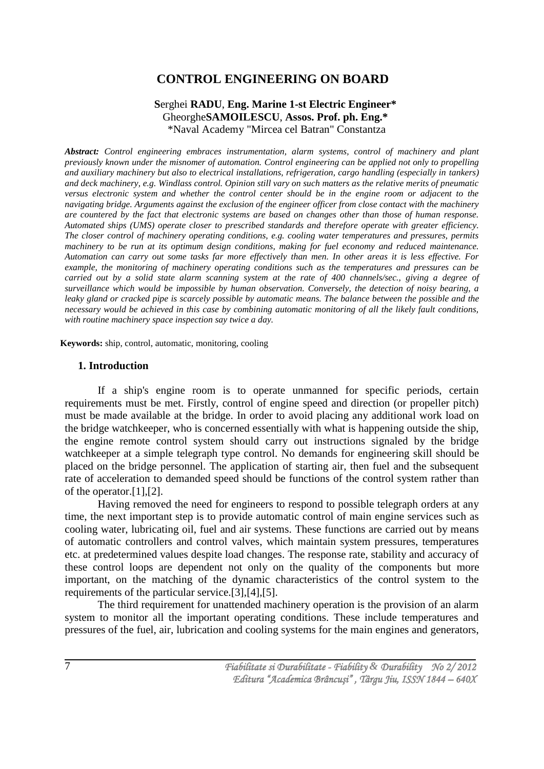# **CONTROL ENGINEERING ON BOARD**

## **S**erghei **RADU**, **Eng. Marine 1-st Electric Engineer\*** Gheorghe**SAMOILESCU**, **Assos. Prof. ph. Eng.\*** \*Naval Academy "Mircea cel Batran" Constantza

*Abstract: Control engineering embraces instrumentation, alarm systems, control of machinery and plant previously known under the misnomer of automation. Control engineering can be applied not only to propelling and auxiliary machinery but also to electrical installations, refrigeration, cargo handling (especially in tankers) and deck machinery, e.g. Windlass control. Opinion still vary on such matters as the relative merits of pneumatic versus electronic system and whether the control center should be in the engine room or adjacent to the navigating bridge. Arguments against the exclusion of the engineer officer from close contact with the machinery are countered by the fact that electronic systems are based on changes other than those of human response. Automated ships (UMS) operate closer to prescribed standards and therefore operate with greater efficiency. The closer control of machinery operating conditions, e.g. cooling water temperatures and pressures, permits machinery to be run at its optimum design conditions, making for fuel economy and reduced maintenance. Automation can carry out some tasks far more effectively than men. In other areas it is less effective. For example, the monitoring of machinery operating conditions such as the temperatures and pressures can be carried out by a solid state alarm scanning system at the rate of 400 channels/sec., giving a degree of surveillance which would be impossible by human observation. Conversely, the detection of noisy bearing, a leaky gland or cracked pipe is scarcely possible by automatic means. The balance between the possible and the necessary would be achieved in this case by combining automatic monitoring of all the likely fault conditions, with routine machinery space inspection say twice a day.*

**Keywords:** ship, control, automatic, monitoring, cooling

#### **1. Introduction**

If a ship's engine room is to operate unmanned for specific periods, certain requirements must be met. Firstly, control of engine speed and direction (or propeller pitch) must be made available at the bridge. In order to avoid placing any additional work load on the bridge watchkeeper, who is concerned essentially with what is happening outside the ship, the engine remote control system should carry out instructions signaled by the bridge watchkeeper at a simple telegraph type control. No demands for engineering skill should be placed on the bridge personnel. The application of starting air, then fuel and the subsequent rate of acceleration to demanded speed should be functions of the control system rather than of the operator.[1],[2].

Having removed the need for engineers to respond to possible telegraph orders at any time, the next important step is to provide automatic control of main engine services such as cooling water, lubricating oil, fuel and air systems. These functions are carried out by means of automatic controllers and control valves, which maintain system pressures, temperatures etc. at predetermined values despite load changes. The response rate, stability and accuracy of these control loops are dependent not only on the quality of the components but more important, on the matching of the dynamic characteristics of the control system to the requirements of the particular service.[3],[4],[5].

The third requirement for unattended machinery operation is the provision of an alarm system to monitor all the important operating conditions. These include temperatures and pressures of the fuel, air, lubrication and cooling systems for the main engines and generators,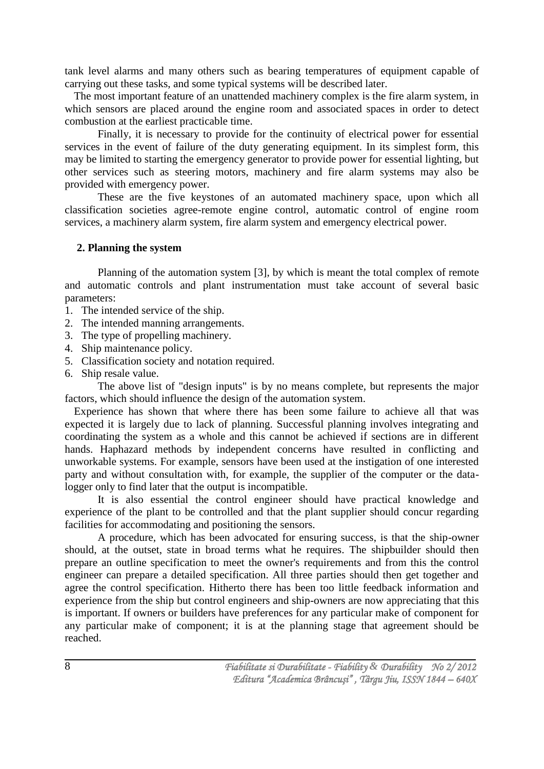tank level alarms and many others such as bearing temperatures of equipment capable of carrying out these tasks, and some typical systems will be described later.

The most important feature of an unattended machinery complex is the fire alarm system, in which sensors are placed around the engine room and associated spaces in order to detect combustion at the earliest practicable time.

Finally, it is necessary to provide for the continuity of electrical power for essential services in the event of failure of the duty generating equipment. In its simplest form, this may be limited to starting the emergency generator to provide power for essential lighting, but other services such as steering motors, machinery and fire alarm systems may also be provided with emergency power.

These are the five keystones of an automated machinery space, upon which all classification societies agree-remote engine control, automatic control of engine room services, a machinery alarm system, fire alarm system and emergency electrical power.

#### **2. Planning the system**

Planning of the automation system [3], by which is meant the total complex of remote and automatic controls and plant instrumentation must take account of several basic parameters:

- 1. The intended service of the ship.
- 2. The intended manning arrangements.
- 3. The type of propelling machinery.
- 4. Ship maintenance policy.
- 5. Classification society and notation required.
- 6. Ship resale value.

The above list of "design inputs" is by no means complete, but represents the major factors, which should influence the design of the automation system.

Experience has shown that where there has been some failure to achieve all that was expected it is largely due to lack of planning. Successful planning involves integrating and coordinating the system as a whole and this cannot be achieved if sections are in different hands. Haphazard methods by independent concerns have resulted in conflicting and unworkable systems. For example, sensors have been used at the instigation of one interested party and without consultation with, for example, the supplier of the computer or the datalogger only to find later that the output is incompatible.

It is also essential the control engineer should have practical knowledge and experience of the plant to be controlled and that the plant supplier should concur regarding facilities for accommodating and positioning the sensors.

A procedure, which has been advocated for ensuring success, is that the ship-owner should, at the outset, state in broad terms what he requires. The shipbuilder should then prepare an outline specification to meet the owner's requirements and from this the control engineer can prepare a detailed specification. All three parties should then get together and agree the control specification. Hitherto there has been too little feedback information and experience from the ship but control engineers and ship-owners are now appreciating that this is important. If owners or builders have preferences for any particular make of component for any particular make of component; it is at the planning stage that agreement should be reached.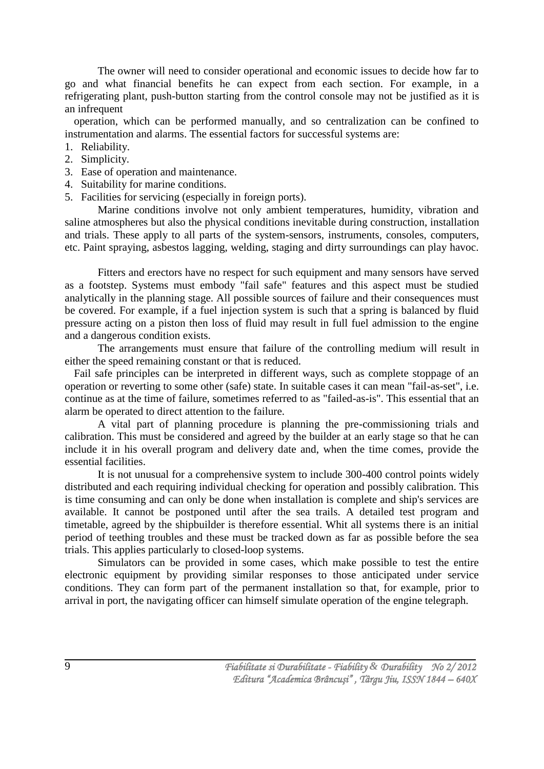The owner will need to consider operational and economic issues to decide how far to go and what financial benefits he can expect from each section. For example, in a refrigerating plant, push-button starting from the control console may not be justified as it is an infrequent

operation, which can be performed manually, and so centralization can be confined to instrumentation and alarms. The essential factors for successful systems are:

- 1. Reliability.
- 2. Simplicity.
- 3. Ease of operation and maintenance.
- 4. Suitability for marine conditions.
- 5. Facilities for servicing (especially in foreign ports).

Marine conditions involve not only ambient temperatures, humidity, vibration and saline atmospheres but also the physical conditions inevitable during construction, installation and trials. These apply to all parts of the system-sensors, instruments, consoles, computers, etc. Paint spraying, asbestos lagging, welding, staging and dirty surroundings can play havoc.

Fitters and erectors have no respect for such equipment and many sensors have served as a footstep. Systems must embody "fail safe" features and this aspect must be studied analytically in the planning stage. All possible sources of failure and their consequences must be covered. For example, if a fuel injection system is such that a spring is balanced by fluid pressure acting on a piston then loss of fluid may result in full fuel admission to the engine and a dangerous condition exists.

The arrangements must ensure that failure of the controlling medium will result in either the speed remaining constant or that is reduced.

Fail safe principles can be interpreted in different ways, such as complete stoppage of an operation or reverting to some other (safe) state. In suitable cases it can mean "fail-as-set", i.e. continue as at the time of failure, sometimes referred to as "failed-as-is". This essential that an alarm be operated to direct attention to the failure.

A vital part of planning procedure is planning the pre-commissioning trials and calibration. This must be considered and agreed by the builder at an early stage so that he can include it in his overall program and delivery date and, when the time comes, provide the essential facilities.

It is not unusual for a comprehensive system to include 300-400 control points widely distributed and each requiring individual checking for operation and possibly calibration. This is time consuming and can only be done when installation is complete and ship's services are available. It cannot be postponed until after the sea trails. A detailed test program and timetable, agreed by the shipbuilder is therefore essential. Whit all systems there is an initial period of teething troubles and these must be tracked down as far as possible before the sea trials. This applies particularly to closed-loop systems.

Simulators can be provided in some cases, which make possible to test the entire electronic equipment by providing similar responses to those anticipated under service conditions. They can form part of the permanent installation so that, for example, prior to arrival in port, the navigating officer can himself simulate operation of the engine telegraph.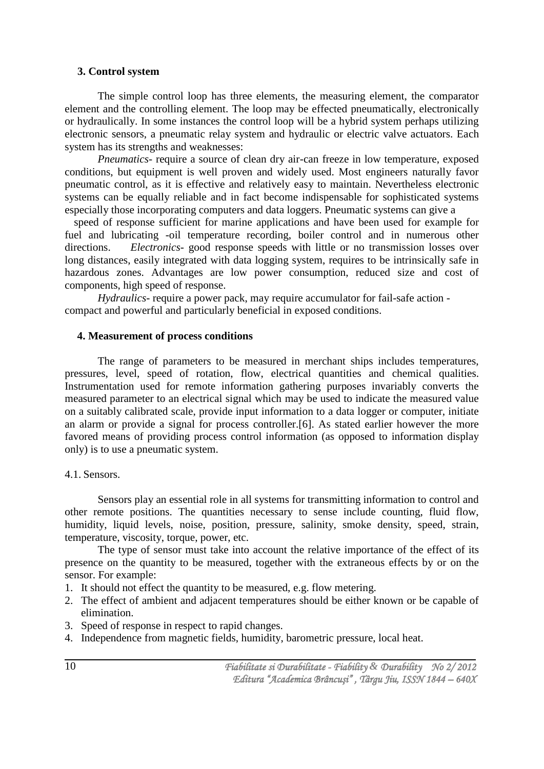## **3. Control system**

The simple control loop has three elements, the measuring element, the comparator element and the controlling element. The loop may be effected pneumatically, electronically or hydraulically. In some instances the control loop will be a hybrid system perhaps utilizing electronic sensors, a pneumatic relay system and hydraulic or electric valve actuators. Each system has its strengths and weaknesses:

*Pneumatics-* require a source of clean dry air-can freeze in low temperature, exposed conditions, but equipment is well proven and widely used. Most engineers naturally favor pneumatic control, as it is effective and relatively easy to maintain. Nevertheless electronic systems can be equally reliable and in fact become indispensable for sophisticated systems especially those incorporating computers and data loggers. Pneumatic systems can give a

speed of response sufficient for marine applications and have been used for example for fuel and lubricating -oil temperature recording, boiler control and in numerous other directions. *Electronics-* good response speeds with little or no transmission losses over long distances, easily integrated with data logging system, requires to be intrinsically safe in hazardous zones. Advantages are low power consumption, reduced size and cost of components, high speed of response.

*Hydraulics-* require a power pack, may require accumulator for fail-safe action compact and powerful and particularly beneficial in exposed conditions.

### **4. Measurement of process conditions**

The range of parameters to be measured in merchant ships includes temperatures, pressures, level, speed of rotation, flow, electrical quantities and chemical qualities. Instrumentation used for remote information gathering purposes invariably converts the measured parameter to an electrical signal which may be used to indicate the measured value on a suitably calibrated scale, provide input information to a data logger or computer, initiate an alarm or provide a signal for process controller.[6]. As stated earlier however the more favored means of providing process control information (as opposed to information display only) is to use a pneumatic system.

### 4.1. Sensors.

Sensors play an essential role in all systems for transmitting information to control and other remote positions. The quantities necessary to sense include counting, fluid flow, humidity, liquid levels, noise, position, pressure, salinity, smoke density, speed, strain, temperature, viscosity, torque, power, etc.

The type of sensor must take into account the relative importance of the effect of its presence on the quantity to be measured, together with the extraneous effects by or on the sensor. For example:

- 1. It should not effect the quantity to be measured, e.g. flow metering.
- 2. The effect of ambient and adjacent temperatures should be either known or be capable of elimination.
- 3. Speed of response in respect to rapid changes.
- 4. Independence from magnetic fields, humidity, barometric pressure, local heat.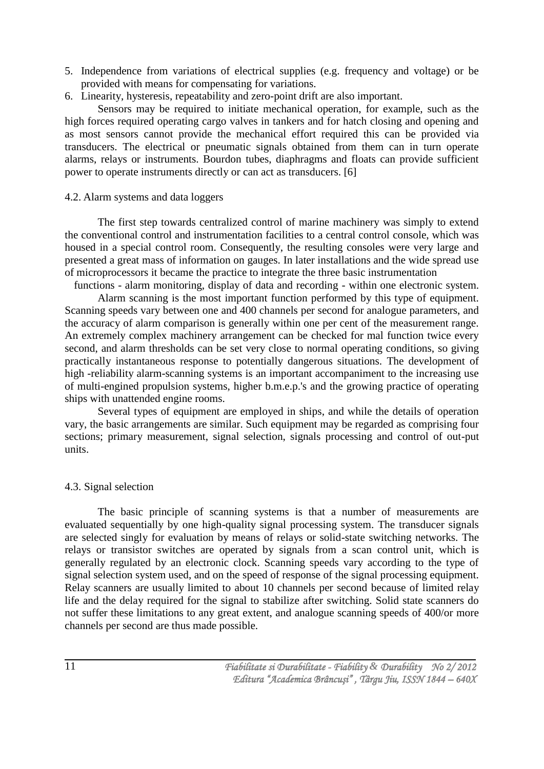- 5. Independence from variations of electrical supplies (e.g. frequency and voltage) or be provided with means for compensating for variations.
- 6. Linearity, hysteresis, repeatability and zero-point drift are also important.

Sensors may be required to initiate mechanical operation, for example, such as the high forces required operating cargo valves in tankers and for hatch closing and opening and as most sensors cannot provide the mechanical effort required this can be provided via transducers. The electrical or pneumatic signals obtained from them can in turn operate alarms, relays or instruments. Bourdon tubes, diaphragms and floats can provide sufficient power to operate instruments directly or can act as transducers. [6]

## 4.2. Alarm systems and data loggers

The first step towards centralized control of marine machinery was simply to extend the conventional control and instrumentation facilities to a central control console, which was housed in a special control room. Consequently, the resulting consoles were very large and presented a great mass of information on gauges. In later installations and the wide spread use of microprocessors it became the practice to integrate the three basic instrumentation

functions - alarm monitoring, display of data and recording - within one electronic system.

Alarm scanning is the most important function performed by this type of equipment. Scanning speeds vary between one and 400 channels per second for analogue parameters, and the accuracy of alarm comparison is generally within one per cent of the measurement range. An extremely complex machinery arrangement can be checked for mal function twice every second, and alarm thresholds can be set very close to normal operating conditions, so giving practically instantaneous response to potentially dangerous situations. The development of high -reliability alarm-scanning systems is an important accompaniment to the increasing use of multi-engined propulsion systems, higher b.m.e.p.'s and the growing practice of operating ships with unattended engine rooms.

Several types of equipment are employed in ships, and while the details of operation vary, the basic arrangements are similar. Such equipment may be regarded as comprising four sections; primary measurement, signal selection, signals processing and control of out-put units.

# 4.3. Signal selection

The basic principle of scanning systems is that a number of measurements are evaluated sequentially by one high-quality signal processing system. The transducer signals are selected singly for evaluation by means of relays or solid-state switching networks. The relays or transistor switches are operated by signals from a scan control unit, which is generally regulated by an electronic clock. Scanning speeds vary according to the type of signal selection system used, and on the speed of response of the signal processing equipment. Relay scanners are usually limited to about 10 channels per second because of limited relay life and the delay required for the signal to stabilize after switching. Solid state scanners do not suffer these limitations to any great extent, and analogue scanning speeds of 400/or more channels per second are thus made possible.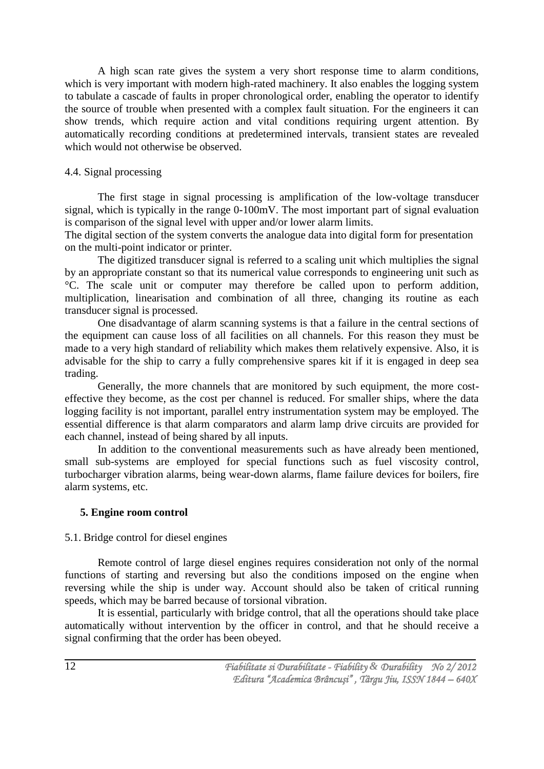A high scan rate gives the system a very short response time to alarm conditions, which is very important with modern high-rated machinery. It also enables the logging system to tabulate a cascade of faults in proper chronological order, enabling the operator to identify the source of trouble when presented with a complex fault situation. For the engineers it can show trends, which require action and vital conditions requiring urgent attention. By automatically recording conditions at predetermined intervals, transient states are revealed which would not otherwise be observed.

## 4.4. Signal processing

The first stage in signal processing is amplification of the low-voltage transducer signal, which is typically in the range 0-100mV. The most important part of signal evaluation is comparison of the signal level with upper and/or lower alarm limits.

The digital section of the system converts the analogue data into digital form for presentation on the multi-point indicator or printer.

The digitized transducer signal is referred to a scaling unit which multiplies the signal by an appropriate constant so that its numerical value corresponds to engineering unit such as °C. The scale unit or computer may therefore be called upon to perform addition, multiplication, linearisation and combination of all three, changing its routine as each transducer signal is processed.

One disadvantage of alarm scanning systems is that a failure in the central sections of the equipment can cause loss of all facilities on all channels. For this reason they must be made to a very high standard of reliability which makes them relatively expensive. Also, it is advisable for the ship to carry a fully comprehensive spares kit if it is engaged in deep sea trading.

Generally, the more channels that are monitored by such equipment, the more costeffective they become, as the cost per channel is reduced. For smaller ships, where the data logging facility is not important, parallel entry instrumentation system may be employed. The essential difference is that alarm comparators and alarm lamp drive circuits are provided for each channel, instead of being shared by all inputs.

In addition to the conventional measurements such as have already been mentioned, small sub-systems are employed for special functions such as fuel viscosity control, turbocharger vibration alarms, being wear-down alarms, flame failure devices for boilers, fire alarm systems, etc.

## **5. Engine room control**

### 5.1. Bridge control for diesel engines

Remote control of large diesel engines requires consideration not only of the normal functions of starting and reversing but also the conditions imposed on the engine when reversing while the ship is under way. Account should also be taken of critical running speeds, which may be barred because of torsional vibration.

It is essential, particularly with bridge control, that all the operations should take place automatically without intervention by the officer in control, and that he should receive a signal confirming that the order has been obeyed.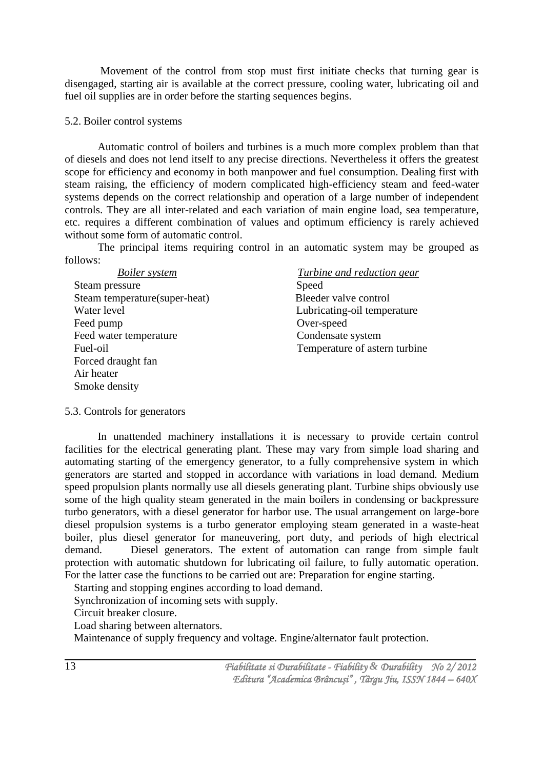Movement of the control from stop must first initiate checks that turning gear is disengaged, starting air is available at the correct pressure, cooling water, lubricating oil and fuel oil supplies are in order before the starting sequences begins.

### 5.2. Boiler control systems

Automatic control of boilers and turbines is a much more complex problem than that of diesels and does not lend itself to any precise directions. Nevertheless it offers the greatest scope for efficiency and economy in both manpower and fuel consumption. Dealing first with steam raising, the efficiency of modern complicated high-efficiency steam and feed-water systems depends on the correct relationship and operation of a large number of independent controls. They are all inter-related and each variation of main engine load, sea temperature, etc. requires a different combination of values and optimum efficiency is rarely achieved without some form of automatic control.

The principal items requiring control in an automatic system may be grouped as follows:

| <b>Boiler</b> system           | <b>Turbine and reduction gear</b> |
|--------------------------------|-----------------------------------|
| Steam pressure                 | Speed                             |
| Steam temperature (super-heat) | Bleeder valve control             |
| Water level                    | Lubricating-oil temperature       |
| Feed pump                      | Over-speed                        |
| Feed water temperature         | Condensate system                 |
| Fuel-oil                       | Temperature of astern turbine     |
| Forced draught fan             |                                   |
| Air heater                     |                                   |
| Smoke density                  |                                   |

5.3. Controls for generators

In unattended machinery installations it is necessary to provide certain control facilities for the electrical generating plant. These may vary from simple load sharing and automating starting of the emergency generator, to a fully comprehensive system in which generators are started and stopped in accordance with variations in load demand. Medium speed propulsion plants normally use all diesels generating plant. Turbine ships obviously use some of the high quality steam generated in the main boilers in condensing or backpressure turbo generators, with a diesel generator for harbor use. The usual arrangement on large-bore diesel propulsion systems is a turbo generator employing steam generated in a waste-heat boiler, plus diesel generator for maneuvering, port duty, and periods of high electrical demand. Diesel generators. The extent of automation can range from simple fault protection with automatic shutdown for lubricating oil failure, to fully automatic operation. For the latter case the functions to be carried out are: Preparation for engine starting.

Starting and stopping engines according to load demand.

Synchronization of incoming sets with supply.

Circuit breaker closure.

Load sharing between alternators.

Maintenance of supply frequency and voltage. Engine/alternator fault protection.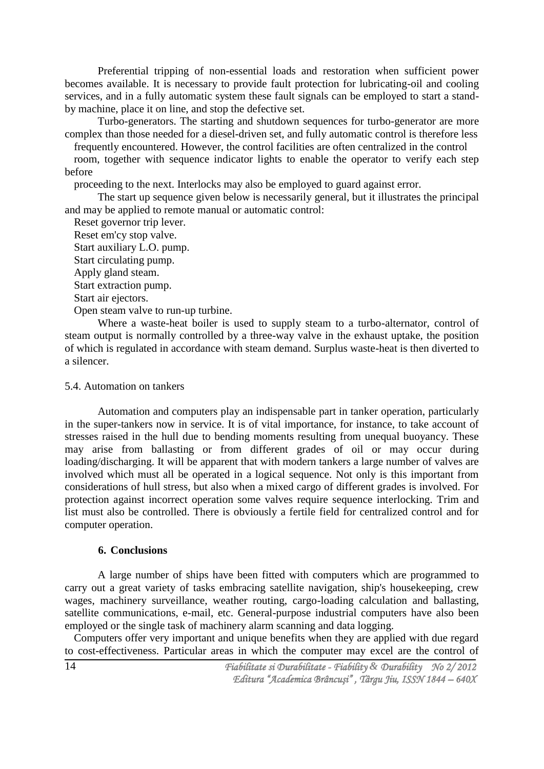Preferential tripping of non-essential loads and restoration when sufficient power becomes available. It is necessary to provide fault protection for lubricating-oil and cooling services, and in a fully automatic system these fault signals can be employed to start a standby machine, place it on line, and stop the defective set.

Turbo-generators. The starting and shutdown sequences for turbo-generator are more complex than those needed for a diesel-driven set, and fully automatic control is therefore less

frequently encountered. However, the control facilities are often centralized in the control

room, together with sequence indicator lights to enable the operator to verify each step before

proceeding to the next. Interlocks may also be employed to guard against error.

The start up sequence given below is necessarily general, but it illustrates the principal and may be applied to remote manual or automatic control:

Reset governor trip lever. Reset em'cy stop valve. Start auxiliary L.O. pump.

Start circulating pump.

Apply gland steam.

Start extraction pump.

Start air ejectors.

Open steam valve to run-up turbine.

Where a waste-heat boiler is used to supply steam to a turbo-alternator, control of steam output is normally controlled by a three-way valve in the exhaust uptake, the position of which is regulated in accordance with steam demand. Surplus waste-heat is then diverted to a silencer.

### 5.4. Automation on tankers

Automation and computers play an indispensable part in tanker operation, particularly in the super-tankers now in service. It is of vital importance, for instance, to take account of stresses raised in the hull due to bending moments resulting from unequal buoyancy. These may arise from ballasting or from different grades of oil or may occur during loading/discharging. It will be apparent that with modern tankers a large number of valves are involved which must all be operated in a logical sequence. Not only is this important from considerations of hull stress, but also when a mixed cargo of different grades is involved. For protection against incorrect operation some valves require sequence interlocking. Trim and list must also be controlled. There is obviously a fertile field for centralized control and for computer operation.

### **6. Conclusions**

A large number of ships have been fitted with computers which are programmed to carry out a great variety of tasks embracing satellite navigation, ship's housekeeping, crew wages, machinery surveillance, weather routing, cargo-loading calculation and ballasting, satellite communications, e-mail, etc. General-purpose industrial computers have also been employed or the single task of machinery alarm scanning and data logging.

Computers offer very important and unique benefits when they are applied with due regard to cost-effectiveness. Particular areas in which the computer may excel are the control of